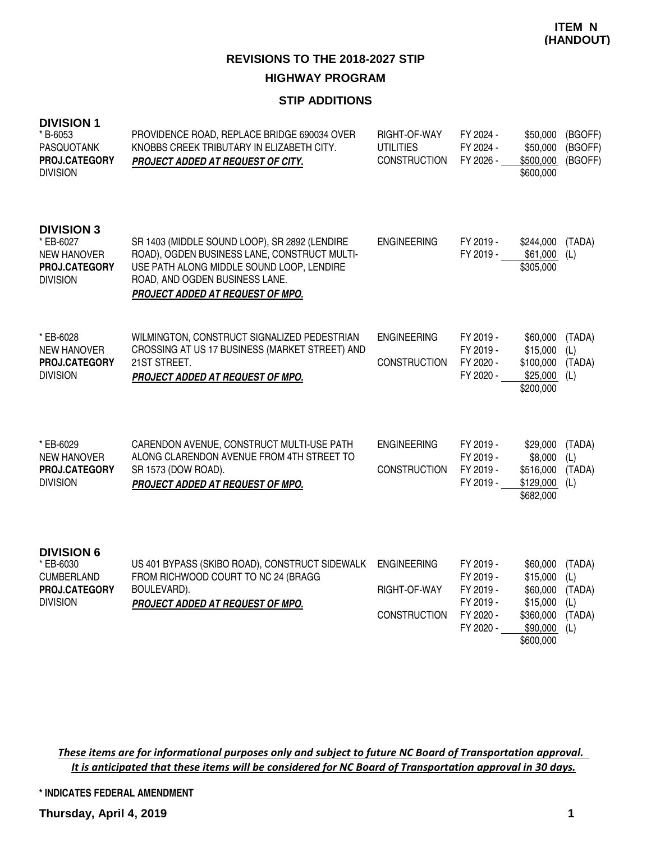### **STIP ADDITIONS**

| <b>DIVISION 1</b><br>* B-6053<br>PASQUOTANK<br>PROJ.CATEGORY<br><b>DIVISION</b>          | PROVIDENCE ROAD, REPLACE BRIDGE 690034 OVER<br>KNOBBS CREEK TRIBUTARY IN ELIZABETH CITY.<br>PROJECT ADDED AT REQUEST OF CITY.                                                                                           | RIGHT-OF-WAY<br><b>UTILITIES</b><br><b>CONSTRUCTION</b>   | FY 2024 -<br>FY 2024 -<br>FY 2026 -                                        | \$50,000<br>\$50,000<br>\$500,000<br>\$600,000                                     | (BGOFF)<br>(BGOFF)<br>(BGOFF)                   |
|------------------------------------------------------------------------------------------|-------------------------------------------------------------------------------------------------------------------------------------------------------------------------------------------------------------------------|-----------------------------------------------------------|----------------------------------------------------------------------------|------------------------------------------------------------------------------------|-------------------------------------------------|
| <b>DIVISION 3</b><br>* EB-6027<br><b>NEW HANOVER</b><br>PROJ.CATEGORY<br><b>DIVISION</b> | SR 1403 (MIDDLE SOUND LOOP), SR 2892 (LENDIRE<br>ROAD), OGDEN BUSINESS LANE, CONSTRUCT MULTI-<br>USE PATH ALONG MIDDLE SOUND LOOP, LENDIRE<br>ROAD, AND OGDEN BUSINESS LANE.<br><b>PROJECT ADDED AT REQUEST OF MPO.</b> | <b>ENGINEERING</b>                                        | FY 2019 -<br>FY 2019 -                                                     | \$244,000<br>\$61,000<br>\$305,000                                                 | (TADA)<br>(L)                                   |
| * EB-6028<br><b>NEW HANOVER</b><br>PROJ.CATEGORY<br><b>DIVISION</b>                      | WILMINGTON, CONSTRUCT SIGNALIZED PEDESTRIAN<br>CROSSING AT US 17 BUSINESS (MARKET STREET) AND<br>21ST STREET.<br>PROJECT ADDED AT REQUEST OF MPO.                                                                       | <b>ENGINEERING</b><br><b>CONSTRUCTION</b>                 | FY 2019 -<br>FY 2019 -<br>FY 2020 -<br>FY 2020 -                           | \$60,000<br>\$15,000<br>\$100,000<br>\$25,000<br>\$200,000                         | (TADA)<br>(L)<br>(TADA)<br>(L)                  |
| * EB-6029<br><b>NEW HANOVER</b><br>PROJ.CATEGORY<br><b>DIVISION</b>                      | CARENDON AVENUE, CONSTRUCT MULTI-USE PATH<br>ALONG CLARENDON AVENUE FROM 4TH STREET TO<br>SR 1573 (DOW ROAD).<br>PROJECT ADDED AT REQUEST OF MPO.                                                                       | <b>ENGINEERING</b><br><b>CONSTRUCTION</b>                 | FY 2019 -<br>FY 2019 -<br>FY 2019 -<br>FY 2019 -                           | \$29,000<br>\$8,000<br>\$516,000<br>\$129,000<br>\$682,000                         | (TADA)<br>(L)<br>(TADA)<br>(L)                  |
| <b>DIVISION 6</b><br>* EB-6030<br><b>CUMBERLAND</b><br>PROJ.CATEGORY<br><b>DIVISION</b>  | US 401 BYPASS (SKIBO ROAD), CONSTRUCT SIDEWALK<br>FROM RICHWOOD COURT TO NC 24 (BRAGG<br>BOULEVARD).<br>PROJECT ADDED AT REQUEST OF MPO.                                                                                | <b>ENGINEERING</b><br>RIGHT-OF-WAY<br><b>CONSTRUCTION</b> | FY 2019 -<br>FY 2019 -<br>FY 2019 -<br>FY 2019 -<br>FY 2020 -<br>FY 2020 - | \$60,000<br>\$15,000<br>\$60,000<br>\$15,000<br>\$360,000<br>\$90,000<br>\$600,000 | (TADA)<br>(L)<br>(TADA)<br>(L)<br>(TADA)<br>(L) |

These items are for informational purposes only and subject to future NC Board of Transportation approval. It is anticipated that these items will be considered for NC Board of Transportation approval in 30 days.

**\* INDICATES FEDERAL AMENDMENT**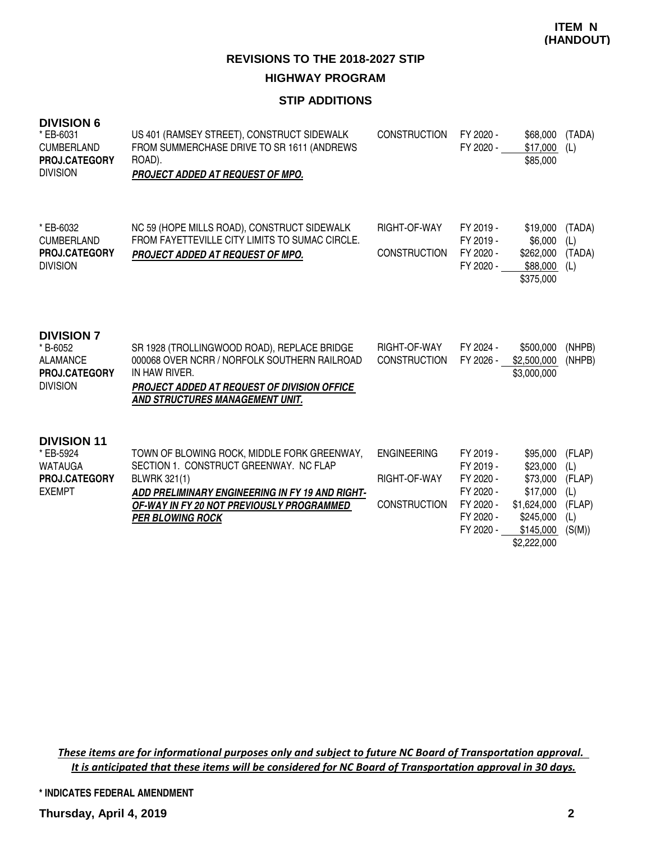#### **STIP ADDITIONS**

| <b>DIVISION 6</b><br>* EB-6031<br><b>CUMBERLAND</b><br>PROJ.CATEGORY<br><b>DIVISION</b> | US 401 (RAMSEY STREET), CONSTRUCT SIDEWALK<br>FROM SUMMERCHASE DRIVE TO SR 1611 (ANDREWS<br>ROAD).<br>PROJECT ADDED AT REQUEST OF MPO.                                                                                           | <b>CONSTRUCTION</b>                                       | FY 2020 -<br>FY 2020 -                                                                  | \$68,000<br>\$17,000<br>\$85,000                                                                     | (TADA)<br>(L)                                             |
|-----------------------------------------------------------------------------------------|----------------------------------------------------------------------------------------------------------------------------------------------------------------------------------------------------------------------------------|-----------------------------------------------------------|-----------------------------------------------------------------------------------------|------------------------------------------------------------------------------------------------------|-----------------------------------------------------------|
| * EB-6032<br><b>CUMBERLAND</b><br>PROJ.CATEGORY<br><b>DIVISION</b>                      | NC 59 (HOPE MILLS ROAD), CONSTRUCT SIDEWALK<br>FROM FAYETTEVILLE CITY LIMITS TO SUMAC CIRCLE.<br>PROJECT ADDED AT REQUEST OF MPO.                                                                                                | RIGHT-OF-WAY<br><b>CONSTRUCTION</b>                       | FY 2019 -<br>FY 2019 -<br>FY 2020 -<br>FY 2020 -                                        | \$19,000<br>\$6,000<br>\$262,000<br>\$88,000<br>\$375,000                                            | (TADA)<br>(L)<br>(TADA)<br>(L)                            |
| <b>DIVISION 7</b><br>* B-6052<br><b>ALAMANCE</b><br>PROJ.CATEGORY<br><b>DIVISION</b>    | SR 1928 (TROLLINGWOOD ROAD), REPLACE BRIDGE<br>000068 OVER NCRR / NORFOLK SOUTHERN RAILROAD<br>IN HAW RIVER.<br><b>PROJECT ADDED AT REQUEST OF DIVISION OFFICE</b><br>AND STRUCTURES MANAGEMENT UNIT.                            | RIGHT-OF-WAY<br><b>CONSTRUCTION</b>                       | FY 2024 -<br>FY 2026 -                                                                  | \$500,000<br>\$2,500,000<br>\$3,000,000                                                              | (NHPB)<br>(NHPB)                                          |
| <b>DIVISION 11</b><br>* EB-5924<br><b>WATAUGA</b><br>PROJ.CATEGORY<br><b>EXEMPT</b>     | TOWN OF BLOWING ROCK, MIDDLE FORK GREENWAY,<br>SECTION 1. CONSTRUCT GREENWAY. NC FLAP<br>BLWRK 321(1)<br>ADD PRELIMINARY ENGINEERING IN FY 19 AND RIGHT-<br>OF-WAY IN FY 20 NOT PREVIOUSLY PROGRAMMED<br><b>PER BLOWING ROCK</b> | <b>ENGINEERING</b><br>RIGHT-OF-WAY<br><b>CONSTRUCTION</b> | FY 2019 -<br>FY 2019 -<br>FY 2020 -<br>FY 2020 -<br>FY 2020 -<br>FY 2020 -<br>FY 2020 - | \$95,000<br>\$23,000<br>\$73,000<br>\$17,000<br>\$1,624,000<br>\$245,000<br>\$145,000<br>\$2,222,000 | (FLAP)<br>(L)<br>(FLAP)<br>(L)<br>(FLAP)<br>(L)<br>(S(M)) |

These items are for informational purposes only and subject to future NC Board of Transportation approval. It is anticipated that these items will be considered for NC Board of Transportation approval in 30 days.

**\* INDICATES FEDERAL AMENDMENT**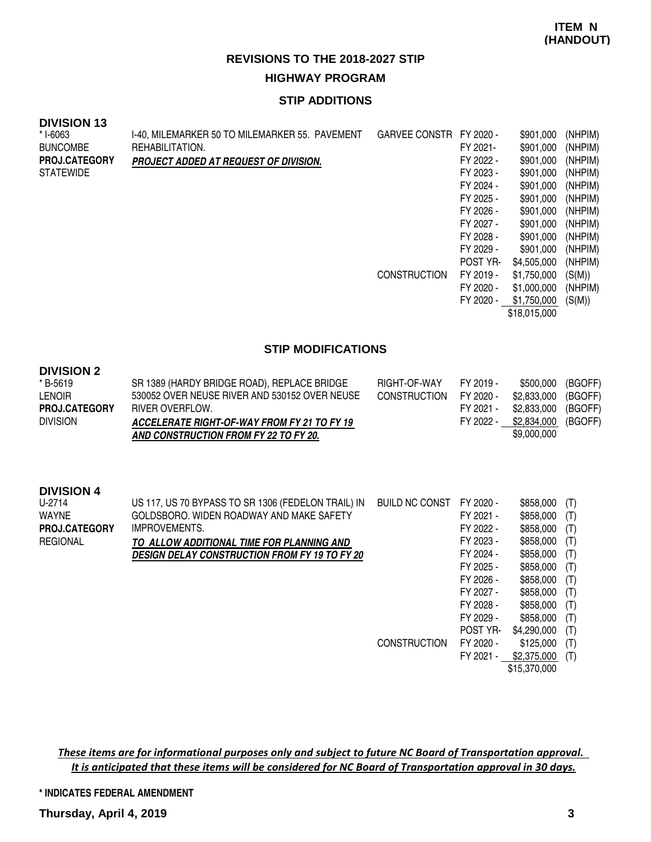### **STIP ADDITIONS**

#### **DIVISION 13**

**DIVISION** 

| * I-6063             | I-40, MILEMARKER 50 TO MILEMARKER 55. PAVEMENT | <b>GARVEE CONSTR</b> | FY 2020 - | \$901,000    | (NHPIM) |
|----------------------|------------------------------------------------|----------------------|-----------|--------------|---------|
| <b>BUNCOMBE</b>      | REHABILITATION.                                |                      | FY 2021-  | \$901,000    | (NHPIM) |
| <b>PROJ.CATEGORY</b> | <b>PROJECT ADDED AT REQUEST OF DIVISION.</b>   |                      | FY 2022 - | \$901,000    | (NHPIM) |
| STATEWIDE            |                                                |                      | FY 2023 - | \$901,000    | (NHPIM) |
|                      |                                                |                      | FY 2024 - | \$901,000    | (NHPIM) |
|                      |                                                |                      | FY 2025 - | \$901,000    | (NHPIM) |
|                      |                                                |                      | FY 2026 - | \$901,000    | (NHPIM) |
|                      |                                                |                      | FY 2027 - | \$901,000    | (NHPIM) |
|                      |                                                |                      | FY 2028 - | \$901,000    | (NHPIM) |
|                      |                                                |                      | FY 2029 - | \$901,000    | (NHPIM) |
|                      |                                                |                      | POST YR-  | \$4,505,000  | (NHPIM) |
|                      |                                                | <b>CONSTRUCTION</b>  | FY 2019 - | \$1,750,000  | (S(M))  |
|                      |                                                |                      | FY 2020 - | \$1,000,000  | (NHPIM) |
|                      |                                                |                      | FY 2020 - | \$1,750,000  | (S(M))  |
|                      |                                                |                      |           | \$18,015,000 |         |
|                      |                                                |                      |           |              |         |

#### **STIP MODIFICATIONS**

| DIVISION 2<br>* B-5619<br><b>LENOIR</b><br><b>PROJ.CATEGORY</b><br><b>DIVISION</b>     | SR 1389 (HARDY BRIDGE ROAD), REPLACE BRIDGE<br>530052 OVER NEUSE RIVER AND 530152 OVER NEUSE<br>RIVER OVERFLOW.<br><b>ACCELERATE RIGHT-OF-WAY FROM FY 21 TO FY 19</b><br>AND CONSTRUCTION FROM FY 22 TO FY 20.       | RIGHT-OF-WAY<br><b>CONSTRUCTION</b> | FY 2019 -<br>FY 2020 -<br>FY 2021 -<br>FY 2022 -                                                                               | \$500,000<br>\$2,833,000<br>\$2,833,000<br>\$2,834,000<br>\$9,000,000                                                          | (BGOFF)<br>(BGOFF)<br>(BGOFF)<br>(BGOFF)                           |
|----------------------------------------------------------------------------------------|----------------------------------------------------------------------------------------------------------------------------------------------------------------------------------------------------------------------|-------------------------------------|--------------------------------------------------------------------------------------------------------------------------------|--------------------------------------------------------------------------------------------------------------------------------|--------------------------------------------------------------------|
| <b>DIVISION 4</b><br>U-2714<br><b>WAYNE</b><br><b>PROJ.CATEGORY</b><br><b>REGIONAL</b> | US 117, US 70 BYPASS TO SR 1306 (FEDELON TRAIL) IN<br>GOLDSBORO, WIDEN ROADWAY AND MAKE SAFETY<br>IMPROVEMENTS.<br>TO ALLOW ADDITIONAL TIME FOR PLANNING AND<br><b>DESIGN DELAY CONSTRUCTION FROM FY 19 TO FY 20</b> | <b>BUILD NC CONST</b>               | FY 2020 -<br>FY 2021 -<br>FY 2022 -<br>FY 2023 -<br>FY 2024 -<br>FY 2025 -<br>FY 2026 -<br>FY 2027 -<br>FY 2028 -<br>FY 2029 - | \$858,000<br>\$858,000<br>\$858,000<br>\$858,000<br>\$858,000<br>\$858,000<br>\$858,000<br>\$858,000<br>\$858,000<br>\$858,000 | (T)<br>(T)<br>(T)<br>(T)<br>(T)<br>(T)<br>(T)<br>(T)<br>(T)<br>(T) |
|                                                                                        |                                                                                                                                                                                                                      | <b>CONSTRUCTION</b>                 | POST YR-<br>FY 2020 -<br>FY 2021 -                                                                                             | \$4,290,000<br>\$125,000<br>\$2,375,000<br>\$15,370,000                                                                        | (T)<br>(T)<br>(T)                                                  |

These items are for informational purposes only and subject to future NC Board of Transportation approval. It is anticipated that these items will be considered for NC Board of Transportation approval in 30 days.

**\* INDICATES FEDERAL AMENDMENT**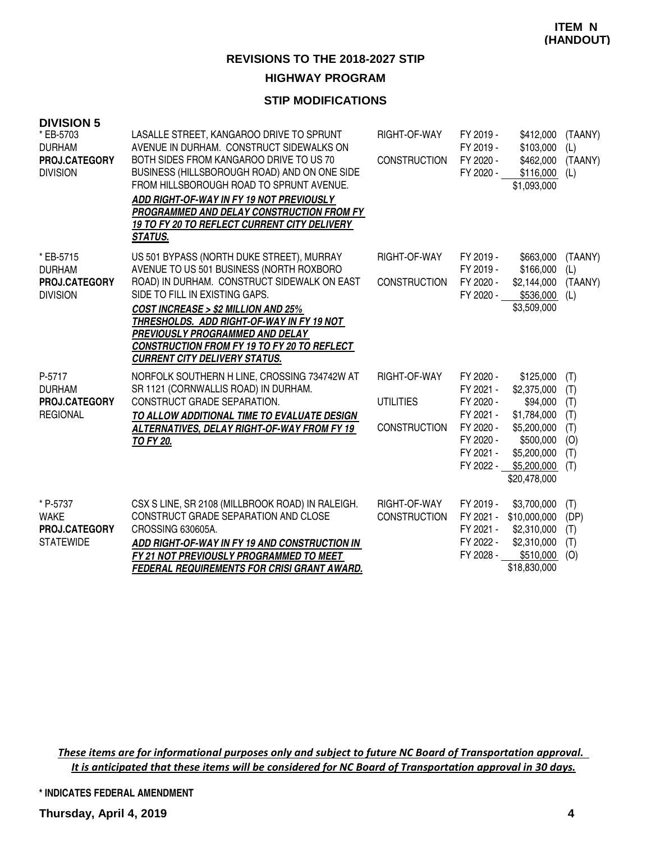#### **STIP MODIFICATIONS**

| <b>DIVISION 5</b>                                              |                                                                                                                                                                                                                                                                                                                                                                                        |                                                         |                                                                                                      |                                                                                                                               |                                                      |
|----------------------------------------------------------------|----------------------------------------------------------------------------------------------------------------------------------------------------------------------------------------------------------------------------------------------------------------------------------------------------------------------------------------------------------------------------------------|---------------------------------------------------------|------------------------------------------------------------------------------------------------------|-------------------------------------------------------------------------------------------------------------------------------|------------------------------------------------------|
| * EB-5703<br><b>DURHAM</b><br>PROJ.CATEGORY<br><b>DIVISION</b> | LASALLE STREET, KANGAROO DRIVE TO SPRUNT<br>AVENUE IN DURHAM. CONSTRUCT SIDEWALKS ON<br>BOTH SIDES FROM KANGAROO DRIVE TO US 70<br>BUSINESS (HILLSBOROUGH ROAD) AND ON ONE SIDE<br>FROM HILLSBOROUGH ROAD TO SPRUNT AVENUE.<br>ADD RIGHT-OF-WAY IN FY 19 NOT PREVIOUSLY<br>PROGRAMMED AND DELAY CONSTRUCTION FROM FY<br>19 TO FY 20 TO REFLECT CURRENT CITY DELIVERY<br><b>STATUS.</b> | RIGHT-OF-WAY<br><b>CONSTRUCTION</b>                     | FY 2019 -<br>FY 2019 -<br>FY 2020 -<br>FY 2020 -                                                     | \$412,000<br>\$103,000<br>\$462,000<br>\$116,000<br>\$1,093,000                                                               | (TAANY)<br>(L)<br>(TAANY)<br>(L)                     |
| * EB-5715<br><b>DURHAM</b><br>PROJ.CATEGORY<br><b>DIVISION</b> | US 501 BYPASS (NORTH DUKE STREET), MURRAY<br>AVENUE TO US 501 BUSINESS (NORTH ROXBORO<br>ROAD) IN DURHAM. CONSTRUCT SIDEWALK ON EAST<br>SIDE TO FILL IN EXISTING GAPS.<br>COST INCREASE > \$2 MILLION AND 25%<br>THRESHOLDS. ADD RIGHT-OF-WAY IN FY 19 NOT<br>PREVIOUSLY PROGRAMMED AND DELAY<br>CONSTRUCTION FROM FY 19 TO FY 20 TO REFLECT<br><b>CURRENT CITY DELIVERY STATUS.</b>   | RIGHT-OF-WAY<br><b>CONSTRUCTION</b>                     | FY 2019 -<br>FY 2019 -<br>FY 2020 -<br>FY 2020 -                                                     | \$663,000<br>\$166,000<br>\$2,144,000<br>\$536,000<br>\$3,509,000                                                             | (TAANY)<br>(L)<br>(TAANY)<br>(L)                     |
| P-5717<br><b>DURHAM</b><br>PROJ.CATEGORY<br><b>REGIONAL</b>    | NORFOLK SOUTHERN H LINE, CROSSING 734742W AT<br>SR 1121 (CORNWALLIS ROAD) IN DURHAM.<br>CONSTRUCT GRADE SEPARATION.<br>TO ALLOW ADDITIONAL TIME TO EVALUATE DESIGN<br>ALTERNATIVES, DELAY RIGHT-OF-WAY FROM FY 19<br><b>TO FY 20.</b>                                                                                                                                                  | RIGHT-OF-WAY<br><b>UTILITIES</b><br><b>CONSTRUCTION</b> | FY 2020 -<br>FY 2021 -<br>FY 2020 -<br>FY 2021 -<br>FY 2020 -<br>FY 2020 -<br>FY 2021 -<br>FY 2022 - | \$125,000<br>\$2,375,000<br>\$94,000<br>\$1,784,000<br>\$5,200,000<br>\$500,000<br>\$5,200,000<br>\$5,200,000<br>\$20,478,000 | (T)<br>(T)<br>(T)<br>(T)<br>(T)<br>(O)<br>(T)<br>(T) |
| * P-5737<br><b>WAKE</b><br>PROJ.CATEGORY<br><b>STATEWIDE</b>   | CSX S LINE, SR 2108 (MILLBROOK ROAD) IN RALEIGH.<br>CONSTRUCT GRADE SEPARATION AND CLOSE<br>CROSSING 630605A.<br>ADD RIGHT-OF-WAY IN FY 19 AND CONSTRUCTION IN<br>FY 21 NOT PREVIOUSLY PROGRAMMED TO MEET<br><b>FEDERAL REQUIREMENTS FOR CRISI GRANT AWARD.</b>                                                                                                                        | RIGHT-OF-WAY<br><b>CONSTRUCTION</b>                     | FY 2019 -<br>FY 2021 -<br>FY 2021 -<br>FY 2022 -<br>FY 2028 -                                        | \$3,700,000<br>\$10,000,000<br>\$2,310,000<br>\$2,310,000<br>\$510,000<br>\$18,830,000                                        | (T)<br>(DP)<br>(T)<br>(T)<br>(O)                     |

These items are for informational purposes only and subject to future NC Board of Transportation approval. It is anticipated that these items will be considered for NC Board of Transportation approval in 30 days.

**\* INDICATES FEDERAL AMENDMENT**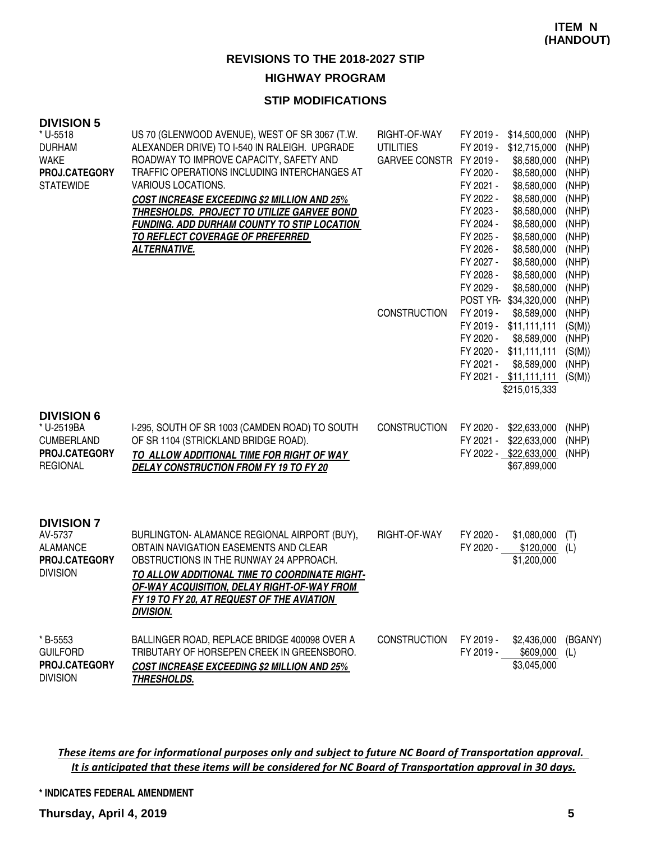#### **STIP MODIFICATIONS**

#### **DIVISION 5**

| * U-5518<br><b>DURHAM</b><br><b>WAKE</b><br>PROJ.CATEGORY<br><b>STATEWIDE</b>            | US 70 (GLENWOOD AVENUE), WEST OF SR 3067 (T.W.<br>ALEXANDER DRIVE) TO I-540 IN RALEIGH. UPGRADE<br>ROADWAY TO IMPROVE CAPACITY, SAFETY AND<br>TRAFFIC OPERATIONS INCLUDING INTERCHANGES AT<br>VARIOUS LOCATIONS.<br><b>COST INCREASE EXCEEDING \$2 MILLION AND 25%</b><br>THRESHOLDS. PROJECT TO UTILIZE GARVEE BOND<br><b>FUNDING. ADD DURHAM COUNTY TO STIP LOCATION</b><br><b>TO REFLECT COVERAGE OF PREFERRED</b><br><b>ALTERNATIVE.</b> | RIGHT-OF-WAY<br><b>UTILITIES</b><br>GARVEE CONSTR FY 2019 - | FY 2019 -<br>FY 2019 -<br>FY 2020 -<br>FY 2021 -<br>FY 2022 -<br>FY 2023 -<br>FY 2024 -<br>FY 2025 -<br>FY 2026 -<br>FY 2027 -<br>FY 2028 -<br>FY 2029 - | \$14,500,000<br>\$12,715,000<br>\$8,580,000<br>\$8,580,000<br>\$8,580,000<br>\$8,580,000<br>\$8,580,000<br>\$8,580,000<br>\$8,580,000<br>\$8,580,000<br>\$8,580,000<br>\$8,580,000<br>\$8,580,000<br>POST YR-\$34,320,000 | (NHP)<br>(NHP)<br>(NHP)<br>(NHP)<br>(NHP)<br>(NHP)<br>(NHP)<br>(NHP)<br>(NHP)<br>(NHP)<br>(NHP)<br>(NHP)<br>(NHP)<br>(NHP) |
|------------------------------------------------------------------------------------------|----------------------------------------------------------------------------------------------------------------------------------------------------------------------------------------------------------------------------------------------------------------------------------------------------------------------------------------------------------------------------------------------------------------------------------------------|-------------------------------------------------------------|----------------------------------------------------------------------------------------------------------------------------------------------------------|---------------------------------------------------------------------------------------------------------------------------------------------------------------------------------------------------------------------------|----------------------------------------------------------------------------------------------------------------------------|
|                                                                                          |                                                                                                                                                                                                                                                                                                                                                                                                                                              | <b>CONSTRUCTION</b>                                         | FY 2019 -<br>FY 2020 -<br>FY 2021 -                                                                                                                      | \$8,589,000<br>FY 2019 - \$11,111,111<br>\$8,589,000<br>FY 2020 - \$11,111,111<br>\$8,589,000<br>FY 2021 - \$11,111,111<br>\$215,015,333                                                                                  | (NHP)<br>(S(M))<br>(NHP)<br>(S(M))<br>(NHP)<br>(S(M))                                                                      |
| <b>DIVISION 6</b><br>* U-2519BA<br><b>CUMBERLAND</b><br>PROJ.CATEGORY<br><b>REGIONAL</b> | I-295, SOUTH OF SR 1003 (CAMDEN ROAD) TO SOUTH<br>OF SR 1104 (STRICKLAND BRIDGE ROAD).<br>TO ALLOW ADDITIONAL TIME FOR RIGHT OF WAY<br>DELAY CONSTRUCTION FROM FY 19 TO FY 20                                                                                                                                                                                                                                                                | <b>CONSTRUCTION</b>                                         | FY 2020 -<br>FY 2021 -                                                                                                                                   | \$22,633,000<br>\$22,633,000<br>FY 2022 - \$22,633,000<br>\$67,899,000                                                                                                                                                    | (NHP)<br>(NHP)<br>(NHP)                                                                                                    |
| <b>DIVISION 7</b><br>AV-5737<br><b>ALAMANCE</b><br>PROJ.CATEGORY<br><b>DIVISION</b>      | BURLINGTON- ALAMANCE REGIONAL AIRPORT (BUY),<br>OBTAIN NAVIGATION EASEMENTS AND CLEAR<br>OBSTRUCTIONS IN THE RUNWAY 24 APPROACH.<br>TO ALLOW ADDITIONAL TIME TO COORDINATE RIGHT-<br><b>OF-WAY ACQUISITION, DELAY RIGHT-OF-WAY FROM</b><br>FY 19 TO FY 20, AT REQUEST OF THE AVIATION<br><b>DIVISION.</b>                                                                                                                                    | RIGHT-OF-WAY                                                | FY 2020 -<br>FY 2020 -                                                                                                                                   | \$1,080,000<br>\$120,000<br>\$1,200,000                                                                                                                                                                                   | (T)<br>(L)                                                                                                                 |
| * B-5553<br><b>GUILFORD</b><br>PROJ.CATEGORY<br><b>DIVISION</b>                          | BALLINGER ROAD, REPLACE BRIDGE 400098 OVER A<br>TRIBUTARY OF HORSEPEN CREEK IN GREENSBORO.<br><b>COST INCREASE EXCEEDING \$2 MILLION AND 25%</b><br><b>THRESHOLDS.</b>                                                                                                                                                                                                                                                                       | <b>CONSTRUCTION</b>                                         | FY 2019 -<br>FY 2019 -                                                                                                                                   | \$2,436,000<br>\$609,000<br>\$3,045,000                                                                                                                                                                                   | (BGANY)<br>(L)                                                                                                             |

These items are for informational purposes only and subject to future NC Board of Transportation approval. It is anticipated that these items will be considered for NC Board of Transportation approval in 30 days.

**\* INDICATES FEDERAL AMENDMENT**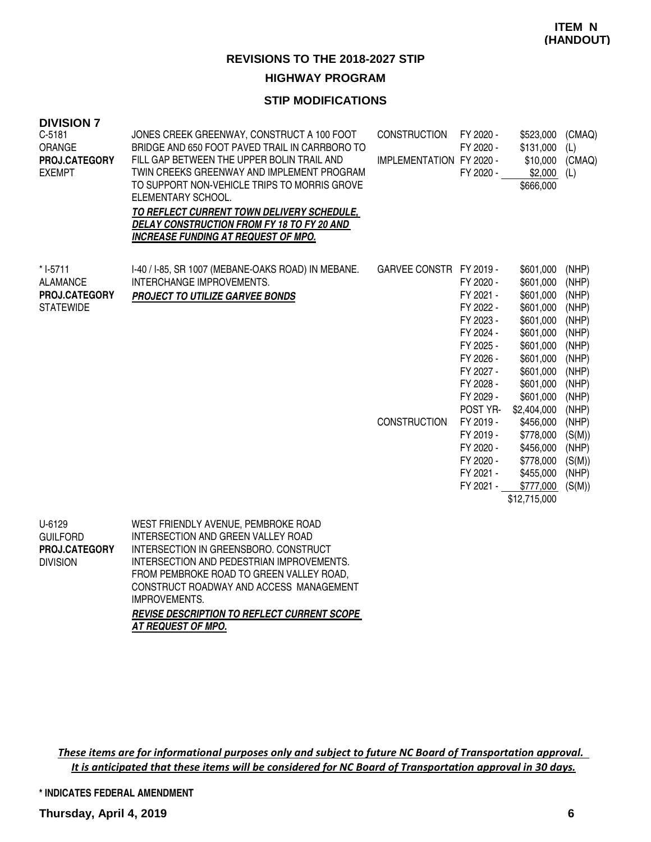### **STIP MODIFICATIONS**

| <b>DIVISION 7</b><br>$C-5181$<br>ORANGE<br>PROJ.CATEGORY<br><b>EXEMPT</b> | JONES CREEK GREENWAY, CONSTRUCT A 100 FOOT<br>BRIDGE AND 650 FOOT PAVED TRAIL IN CARRBORO TO<br>FILL GAP BETWEEN THE UPPER BOLIN TRAIL AND<br>TWIN CREEKS GREENWAY AND IMPLEMENT PROGRAM<br>TO SUPPORT NON-VEHICLE TRIPS TO MORRIS GROVE<br>ELEMENTARY SCHOOL.<br>TO REFLECT CURRENT TOWN DELIVERY SCHEDULE,<br>DELAY CONSTRUCTION FROM FY 18 TO FY 20 AND<br><b>INCREASE FUNDING AT REQUEST OF MPO.</b> | <b>CONSTRUCTION</b><br>IMPLEMENTATION FY 2020 - | FY 2020 -<br>FY 2020 -<br>FY 2020 -                                                                                                                                                                                      | \$523,000<br>\$131,000<br>\$10,000<br>\$2,000<br>\$666,000                                                                                                                                                                                               | (CMAQ)<br>(L)<br>(CMAQ)<br>(L)                                                                                                                                    |
|---------------------------------------------------------------------------|----------------------------------------------------------------------------------------------------------------------------------------------------------------------------------------------------------------------------------------------------------------------------------------------------------------------------------------------------------------------------------------------------------|-------------------------------------------------|--------------------------------------------------------------------------------------------------------------------------------------------------------------------------------------------------------------------------|----------------------------------------------------------------------------------------------------------------------------------------------------------------------------------------------------------------------------------------------------------|-------------------------------------------------------------------------------------------------------------------------------------------------------------------|
| * I-5711<br><b>ALAMANCE</b><br>PROJ.CATEGORY<br><b>STATEWIDE</b>          | I-40 / I-85, SR 1007 (MEBANE-OAKS ROAD) IN MEBANE.<br>INTERCHANGE IMPROVEMENTS.<br>PROJECT TO UTILIZE GARVEE BONDS                                                                                                                                                                                                                                                                                       | GARVEE CONSTR FY 2019 -<br><b>CONSTRUCTION</b>  | FY 2020 -<br>FY 2021 -<br>FY 2022 -<br>FY 2023 -<br>FY 2024 -<br>FY 2025 -<br>FY 2026 -<br>FY 2027 -<br>FY 2028 -<br>FY 2029 -<br>POST YR-<br>FY 2019 -<br>FY 2019 -<br>FY 2020 -<br>FY 2020 -<br>FY 2021 -<br>FY 2021 - | \$601,000<br>\$601,000<br>\$601,000<br>\$601,000<br>\$601,000<br>\$601,000<br>\$601,000<br>\$601,000<br>\$601,000<br>\$601,000<br>\$601,000<br>\$2,404,000<br>\$456,000<br>\$778,000<br>\$456,000<br>\$778,000<br>\$455,000<br>\$777,000<br>\$12,715,000 | (NHP)<br>(NHP)<br>(NHP)<br>(NHP)<br>(NHP)<br>(NHP)<br>(NHP)<br>(NHP)<br>(NHP)<br>(NHP)<br>(NHP)<br>(NHP)<br>(NHP)<br>(S(M))<br>(NHP)<br>(S(M))<br>(NHP)<br>(S(M)) |
| U-6129<br><b>GUILFORD</b><br>PROJ.CATEGORY                                | WEST FRIENDLY AVENUE, PEMBROKE ROAD<br>INTERSECTION AND GREEN VALLEY ROAD<br>INTERSECTION IN GREENSBORO. CONSTRUCT                                                                                                                                                                                                                                                                                       |                                                 |                                                                                                                                                                                                                          |                                                                                                                                                                                                                                                          |                                                                                                                                                                   |

INTERSECTION AND PEDESTRIAN IMPROVEMENTS. FROM PEMBROKE ROAD TO GREEN VALLEY ROAD, CONSTRUCT ROADWAY AND ACCESS MANAGEMENT IMPROVEMENTS. DIVISION

> **REVISE DESCRIPTION TO REFLECT CURRENT SCOPE AT REQUEST OF MPO.**

These items are for informational purposes only and subject to future NC Board of Transportation approval. It is anticipated that these items will be considered for NC Board of Transportation approval in 30 days.

**\* INDICATES FEDERAL AMENDMENT**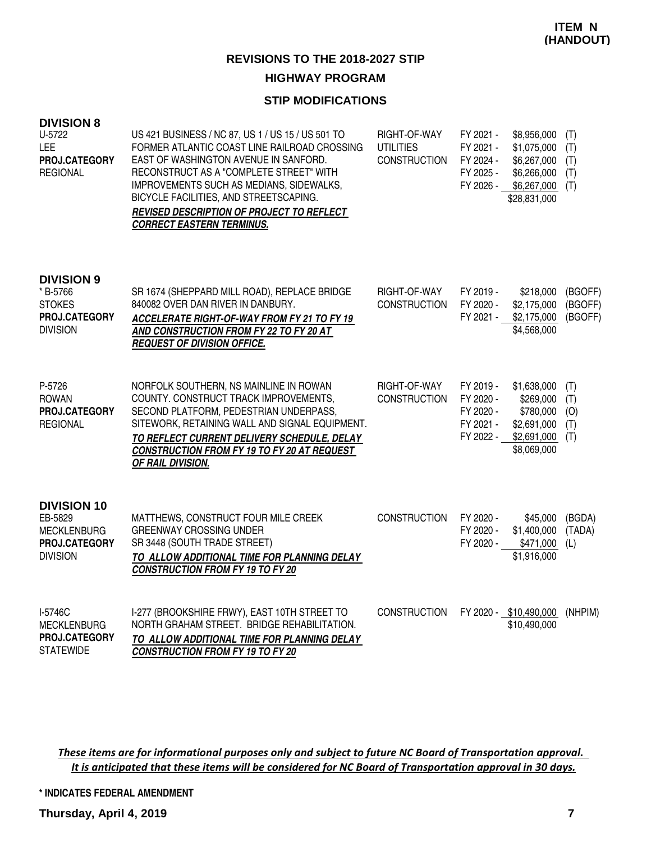### **STIP MODIFICATIONS**

| <b>DIVISION 8</b><br>U-5722<br>LEE<br>PROJ.CATEGORY<br><b>REGIONAL</b>                  | US 421 BUSINESS / NC 87, US 1 / US 15 / US 501 TO<br>FORMER ATLANTIC COAST LINE RAILROAD CROSSING<br>EAST OF WASHINGTON AVENUE IN SANFORD.<br>RECONSTRUCT AS A "COMPLETE STREET" WITH<br>IMPROVEMENTS SUCH AS MEDIANS, SIDEWALKS,<br>BICYCLE FACILITIES, AND STREETSCAPING.<br>REVISED DESCRIPTION OF PROJECT TO REFLECT<br><b>CORRECT EASTERN TERMINUS.</b> | RIGHT-OF-WAY<br><b>UTILITIES</b><br><b>CONSTRUCTION</b> | FY 2021 -<br>FY 2021 -<br>FY 2024 -<br>FY 2025 -<br>FY 2026 - | \$8,956,000<br>\$1,075,000<br>\$6,267,000<br>\$6,266,000<br>\$6,267,000<br>\$28,831,000 | (T)<br>(T)<br>(T)<br>(T)<br>(T) |
|-----------------------------------------------------------------------------------------|--------------------------------------------------------------------------------------------------------------------------------------------------------------------------------------------------------------------------------------------------------------------------------------------------------------------------------------------------------------|---------------------------------------------------------|---------------------------------------------------------------|-----------------------------------------------------------------------------------------|---------------------------------|
| <b>DIVISION 9</b><br>* B-5766<br><b>STOKES</b><br>PROJ.CATEGORY<br><b>DIVISION</b>      | SR 1674 (SHEPPARD MILL ROAD), REPLACE BRIDGE<br>840082 OVER DAN RIVER IN DANBURY.<br>ACCELERATE RIGHT-OF-WAY FROM FY 21 TO FY 19<br>AND CONSTRUCTION FROM FY 22 TO FY 20 AT<br><b>REQUEST OF DIVISION OFFICE.</b>                                                                                                                                            | RIGHT-OF-WAY<br><b>CONSTRUCTION</b>                     | FY 2019 -<br>FY 2020 -<br>FY 2021 -                           | \$218,000<br>\$2,175,000<br>\$2,175,000<br>\$4,568,000                                  | (BGOFF)<br>(BGOFF)<br>(BGOFF)   |
| P-5726<br><b>ROWAN</b><br>PROJ.CATEGORY<br><b>REGIONAL</b>                              | NORFOLK SOUTHERN, NS MAINLINE IN ROWAN<br>COUNTY. CONSTRUCT TRACK IMPROVEMENTS,<br>SECOND PLATFORM, PEDESTRIAN UNDERPASS,<br>SITEWORK, RETAINING WALL AND SIGNAL EQUIPMENT.<br>TO REFLECT CURRENT DELIVERY SCHEDULE, DELAY<br>CONSTRUCTION FROM FY 19 TO FY 20 AT REQUEST<br>OF RAIL DIVISION.                                                               | RIGHT-OF-WAY<br><b>CONSTRUCTION</b>                     | FY 2019 -<br>FY 2020 -<br>FY 2020 -<br>FY 2021 -<br>FY 2022 - | \$1,638,000<br>\$269,000<br>\$780,000<br>\$2,691,000<br>\$2,691,000<br>\$8,069,000      | (T)<br>(T)<br>(O)<br>(T)<br>(T) |
| <b>DIVISION 10</b><br>EB-5829<br><b>MECKLENBURG</b><br>PROJ.CATEGORY<br><b>DIVISION</b> | MATTHEWS, CONSTRUCT FOUR MILE CREEK<br><b>GREENWAY CROSSING UNDER</b><br>SR 3448 (SOUTH TRADE STREET)<br>TO ALLOW ADDITIONAL TIME FOR PLANNING DELAY<br><b>CONSTRUCTION FROM FY 19 TO FY 20</b>                                                                                                                                                              | <b>CONSTRUCTION</b>                                     | FY 2020 -<br>FY 2020 -<br>FY 2020 -                           | \$45,000<br>\$1,400,000<br>\$471,000<br>\$1,916,000                                     | (BGDA)<br>(TADA)<br>(L)         |
| I-5746C<br><b>MECKLENBURG</b><br><b>PROJ.CATEGORY</b><br><b>STATEWIDE</b>               | I-277 (BROOKSHIRE FRWY), EAST 10TH STREET TO<br>NORTH GRAHAM STREET. BRIDGE REHABILITATION.<br>TO ALLOW ADDITIONAL TIME FOR PLANNING DELAY<br><b>CONSTRUCTION FROM FY 19 TO FY 20</b>                                                                                                                                                                        | <b>CONSTRUCTION</b>                                     |                                                               | FY 2020 - \$10,490,000<br>\$10,490,000                                                  | (NHPIM)                         |

These items are for informational purposes only and subject to future NC Board of Transportation approval. It is anticipated that these items will be considered for NC Board of Transportation approval in 30 days.

**\* INDICATES FEDERAL AMENDMENT**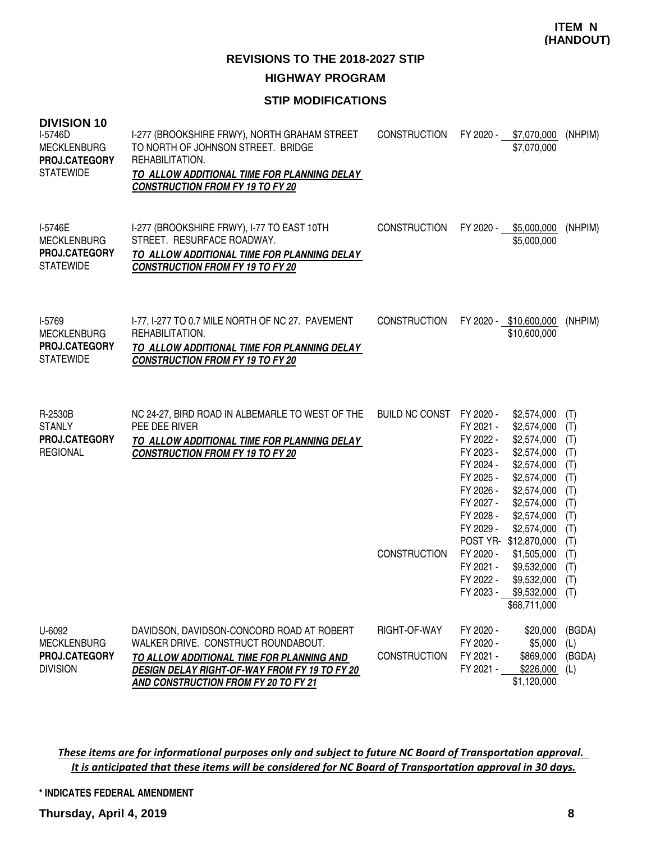### **STIP MODIFICATIONS**

| <b>DIVISION 10</b><br>I-5746D<br><b>MECKLENBURG</b><br>PROJ.CATEGORY<br><b>STATEWIDE</b> | I-277 (BROOKSHIRE FRWY), NORTH GRAHAM STREET<br>TO NORTH OF JOHNSON STREET. BRIDGE<br>REHABILITATION.<br>TO ALLOW ADDITIONAL TIME FOR PLANNING DELAY<br><b>CONSTRUCTION FROM FY 19 TO FY 20</b>                        | <b>CONSTRUCTION</b>                          | FY 2020 -<br>\$7,070,000<br>\$7,070,000                                                                                                                                                                                                                                                                                                                                                                                                            | (NHPIM)                                                                                        |
|------------------------------------------------------------------------------------------|------------------------------------------------------------------------------------------------------------------------------------------------------------------------------------------------------------------------|----------------------------------------------|----------------------------------------------------------------------------------------------------------------------------------------------------------------------------------------------------------------------------------------------------------------------------------------------------------------------------------------------------------------------------------------------------------------------------------------------------|------------------------------------------------------------------------------------------------|
| I-5746E<br><b>MECKLENBURG</b><br>PROJ.CATEGORY<br><b>STATEWIDE</b>                       | I-277 (BROOKSHIRE FRWY), I-77 TO EAST 10TH<br>STREET. RESURFACE ROADWAY.<br>TO ALLOW ADDITIONAL TIME FOR PLANNING DELAY<br><b>CONSTRUCTION FROM FY 19 TO FY 20</b>                                                     | <b>CONSTRUCTION</b>                          | FY 2020 -<br>\$5,000,000<br>\$5,000,000                                                                                                                                                                                                                                                                                                                                                                                                            | (NHPIM)                                                                                        |
| I-5769<br><b>MECKLENBURG</b><br>PROJ.CATEGORY<br><b>STATEWIDE</b>                        | I-77, I-277 TO 0.7 MILE NORTH OF NC 27. PAVEMENT<br>REHABILITATION.<br>TO ALLOW ADDITIONAL TIME FOR PLANNING DELAY<br><b>CONSTRUCTION FROM FY 19 TO FY 20</b>                                                          | <b>CONSTRUCTION</b>                          | FY 2020 - \$10,600,000<br>\$10,600,000                                                                                                                                                                                                                                                                                                                                                                                                             | (NHPIM)                                                                                        |
| R-2530B<br><b>STANLY</b><br>PROJ.CATEGORY<br><b>REGIONAL</b>                             | NC 24-27, BIRD ROAD IN ALBEMARLE TO WEST OF THE<br>PEE DEE RIVER<br>TO ALLOW ADDITIONAL TIME FOR PLANNING DELAY<br><b>CONSTRUCTION FROM FY 19 TO FY 20</b>                                                             | <b>BUILD NC CONST</b><br><b>CONSTRUCTION</b> | FY 2020 -<br>\$2,574,000<br>FY 2021 -<br>\$2,574,000<br>FY 2022 -<br>\$2,574,000<br>FY 2023 -<br>\$2,574,000<br>FY 2024 -<br>\$2,574,000<br>FY 2025 -<br>\$2,574,000<br>FY 2026 -<br>\$2,574,000<br>FY 2027 -<br>\$2,574,000<br>FY 2028 -<br>\$2,574,000<br>FY 2029 -<br>\$2,574,000<br>POST YR- \$12,870,000<br>FY 2020 -<br>\$1,505,000<br>FY 2021 -<br>\$9,532,000<br>FY 2022 -<br>\$9,532,000<br>FY 2023 -<br>$$9,532,000$ (T)<br>\$68,711,000 | (T)<br>(T)<br>(T)<br>(T)<br>(T)<br>(T)<br>(T)<br>(T)<br>(T)<br>(T)<br>(T)<br>(T)<br>(T)<br>(T) |
| U-6092<br><b>MECKLENBURG</b><br>PROJ.CATEGORY<br><b>DIVISION</b>                         | DAVIDSON, DAVIDSON-CONCORD ROAD AT ROBERT<br>WALKER DRIVE. CONSTRUCT ROUNDABOUT.<br>TO ALLOW ADDITIONAL TIME FOR PLANNING AND<br>DESIGN DELAY RIGHT-OF-WAY FROM FY 19 TO FY 20<br>AND CONSTRUCTION FROM FY 20 TO FY 21 | RIGHT-OF-WAY<br><b>CONSTRUCTION</b>          | FY 2020 -<br>\$20,000<br>FY 2020 -<br>\$5,000<br>FY 2021 -<br>\$869,000<br>FY 2021 -<br>\$226,000<br>\$1,120,000                                                                                                                                                                                                                                                                                                                                   | (BGDA)<br>(L)<br>(BGDA)<br>(L)                                                                 |

These items are for informational purposes only and subject to future NC Board of Transportation approval. It is anticipated that these items will be considered for NC Board of Transportation approval in 30 days.

**\* INDICATES FEDERAL AMENDMENT**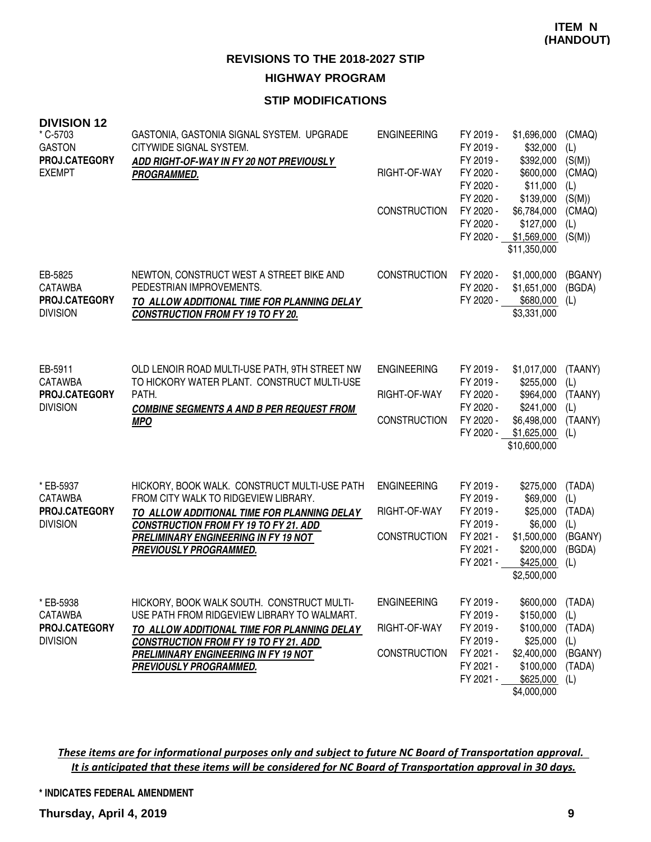### **STIP MODIFICATIONS**

| <b>DIVISION 12</b><br>* C-5703                  | GASTONIA, GASTONIA SIGNAL SYSTEM. UPGRADE                                                   | <b>ENGINEERING</b>  | FY 2019 -                           | \$1,696,000                                        | (CMAQ)                  |
|-------------------------------------------------|---------------------------------------------------------------------------------------------|---------------------|-------------------------------------|----------------------------------------------------|-------------------------|
| <b>GASTON</b><br>PROJ.CATEGORY<br><b>EXEMPT</b> | CITYWIDE SIGNAL SYSTEM.<br>ADD RIGHT-OF-WAY IN FY 20 NOT PREVIOUSLY                         | RIGHT-OF-WAY        | FY 2019 -<br>FY 2019 -<br>FY 2020 - | \$32,000<br>\$392,000<br>\$600,000                 | (L)<br>(S(M))<br>(CMAQ) |
|                                                 | PROGRAMMED.                                                                                 |                     | FY 2020 -<br>FY 2020 -              | \$11,000<br>\$139,000                              | (L)<br>(S(M))           |
|                                                 |                                                                                             | <b>CONSTRUCTION</b> | FY 2020 -                           | \$6,784,000                                        | (CMAQ)                  |
|                                                 |                                                                                             |                     | FY 2020 -                           | \$127,000<br>FY 2020 - \$1,569,000<br>\$11,350,000 | (L)<br>(S(M))           |
| EB-5825                                         | NEWTON, CONSTRUCT WEST A STREET BIKE AND                                                    | <b>CONSTRUCTION</b> | FY 2020 -                           | \$1,000,000                                        | (BGANY)                 |
| <b>CATAWBA</b><br>PROJ.CATEGORY                 | PEDESTRIAN IMPROVEMENTS.                                                                    |                     | FY 2020 -<br>FY 2020 -              | \$1,651,000<br>\$680,000                           | (BGDA)<br>(L)           |
| <b>DIVISION</b>                                 | TO ALLOW ADDITIONAL TIME FOR PLANNING DELAY<br><b>CONSTRUCTION FROM FY 19 TO FY 20.</b>     |                     |                                     | \$3,331,000                                        |                         |
|                                                 |                                                                                             |                     |                                     |                                                    |                         |
| EB-5911                                         | OLD LENOIR ROAD MULTI-USE PATH, 9TH STREET NW                                               | <b>ENGINEERING</b>  | FY 2019 -                           | \$1,017,000                                        | (TAANY)                 |
| <b>CATAWBA</b><br>PROJ.CATEGORY                 | TO HICKORY WATER PLANT. CONSTRUCT MULTI-USE<br>PATH.                                        | RIGHT-OF-WAY        | FY 2019 -<br>FY 2020 -              | \$255,000<br>\$964,000                             | (L)<br>(TAANY)          |
| <b>DIVISION</b>                                 | <b>COMBINE SEGMENTS A AND B PER REQUEST FROM</b><br><b>MPO</b>                              | <b>CONSTRUCTION</b> | FY 2020 -<br>FY 2020 -              | \$241,000<br>\$6,498,000                           | (L)<br>(TAANY)          |
|                                                 |                                                                                             |                     | FY 2020 -                           | \$1,625,000<br>\$10,600,000                        | (L)                     |
|                                                 |                                                                                             |                     |                                     |                                                    |                         |
| * EB-5937<br><b>CATAWBA</b>                     | HICKORY, BOOK WALK. CONSTRUCT MULTI-USE PATH<br>FROM CITY WALK TO RIDGEVIEW LIBRARY.        | <b>ENGINEERING</b>  | FY 2019 -<br>FY 2019 -              | \$275,000<br>\$69,000                              | (TADA)<br>(L)           |
| PROJ.CATEGORY                                   | TO ALLOW ADDITIONAL TIME FOR PLANNING DELAY                                                 | RIGHT-OF-WAY        | FY 2019 -                           | \$25,000                                           | (TADA)                  |
| <b>DIVISION</b>                                 | <b>CONSTRUCTION FROM FY 19 TO FY 21. ADD</b><br>PRELIMINARY ENGINEERING IN FY 19 NOT        | <b>CONSTRUCTION</b> | FY 2019 -<br>FY 2021 -              | \$6,000<br>\$1,500,000                             | (L)<br>(BGANY)          |
|                                                 | PREVIOUSLY PROGRAMMED.                                                                      |                     | FY 2021 -<br>FY 2021 -              | \$200,000<br>\$425,000                             | (BGDA)<br>(L)           |
|                                                 |                                                                                             |                     |                                     | \$2,500,000                                        |                         |
| * EB-5938<br><b>CATAWBA</b>                     | HICKORY, BOOK WALK SOUTH. CONSTRUCT MULTI-<br>USE PATH FROM RIDGEVIEW LIBRARY TO WALMART.   | <b>ENGINEERING</b>  | FY 2019 -<br>FY 2019 -              | \$600,000 (TADA)<br>\$150,000                      | (L)                     |
| PROJ.CATEGORY<br><b>DIVISION</b>                | TO ALLOW ADDITIONAL TIME FOR PLANNING DELAY<br><b>CONSTRUCTION FROM FY 19 TO FY 21. ADD</b> | RIGHT-OF-WAY        | FY 2019 -<br>FY 2019 -              | \$100,000<br>\$25,000                              | (TADA)<br>(L)           |
|                                                 | PRELIMINARY ENGINEERING IN FY 19 NOT                                                        | <b>CONSTRUCTION</b> | FY 2021 -                           | \$2,400,000                                        | (BGANY)                 |
|                                                 | PREVIOUSLY PROGRAMMED.                                                                      |                     | FY 2021 -<br>FY 2021 -              | \$100,000<br>\$625,000                             | (TADA)<br>(L)           |
|                                                 |                                                                                             |                     |                                     | \$4,000,000                                        |                         |

These items are for informational purposes only and subject to future NC Board of Transportation approval. It is anticipated that these items will be considered for NC Board of Transportation approval in 30 days.

**\* INDICATES FEDERAL AMENDMENT**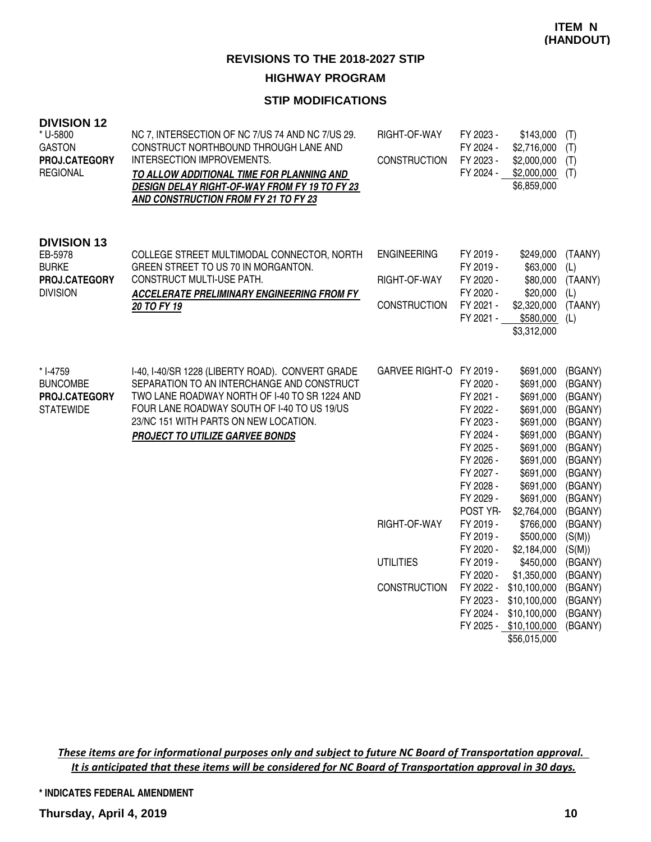### **STIP MODIFICATIONS**

| <b>DIVISION 12</b><br>* U-5800<br><b>GASTON</b><br>PROJ.CATEGORY<br><b>REGIONAL</b> | NC 7, INTERSECTION OF NC 7/US 74 AND NC 7/US 29.<br>CONSTRUCT NORTHBOUND THROUGH LANE AND<br>INTERSECTION IMPROVEMENTS.<br>TO ALLOW ADDITIONAL TIME FOR PLANNING AND<br><b>DESIGN DELAY RIGHT-OF-WAY FROM FY 19 TO FY 23</b><br>AND CONSTRUCTION FROM FY 21 TO FY 23       | RIGHT-OF-WAY<br><b>CONSTRUCTION</b>                       | FY 2023 -<br>FY 2024 -<br>FY 2023 -<br>FY 2024 -                                                                                                                                  | \$143,000<br>\$2,716,000<br>\$2,000,000<br>\$2,000,000<br>\$6,859,000                                                                                                                               | (T)<br>(T)<br>(T)<br>(T)                                                                                                                                        |
|-------------------------------------------------------------------------------------|----------------------------------------------------------------------------------------------------------------------------------------------------------------------------------------------------------------------------------------------------------------------------|-----------------------------------------------------------|-----------------------------------------------------------------------------------------------------------------------------------------------------------------------------------|-----------------------------------------------------------------------------------------------------------------------------------------------------------------------------------------------------|-----------------------------------------------------------------------------------------------------------------------------------------------------------------|
| <b>DIVISION 13</b><br>EB-5978<br><b>BURKE</b><br>PROJ.CATEGORY<br><b>DIVISION</b>   | COLLEGE STREET MULTIMODAL CONNECTOR, NORTH<br>GREEN STREET TO US 70 IN MORGANTON.<br>CONSTRUCT MULTI-USE PATH.<br><b>ACCELERATE PRELIMINARY ENGINEERING FROM FY</b><br>20 TO FY 19                                                                                         | <b>ENGINEERING</b><br>RIGHT-OF-WAY<br><b>CONSTRUCTION</b> | FY 2019 -<br>FY 2019 -<br>FY 2020 -<br>FY 2020 -<br>FY 2021 -<br>FY 2021 -                                                                                                        | \$249,000<br>\$63,000<br>\$80,000<br>\$20,000<br>\$2,320,000<br>\$580,000<br>\$3,312,000                                                                                                            | (TAANY)<br>(L)<br>(TAANY)<br>(L)<br>(TAANY)<br>(L)                                                                                                              |
| * I-4759<br><b>BUNCOMBE</b><br>PROJ.CATEGORY<br><b>STATEWIDE</b>                    | I-40, I-40/SR 1228 (LIBERTY ROAD). CONVERT GRADE<br>SEPARATION TO AN INTERCHANGE AND CONSTRUCT<br>TWO LANE ROADWAY NORTH OF I-40 TO SR 1224 AND<br>FOUR LANE ROADWAY SOUTH OF I-40 TO US 19/US<br>23/NC 151 WITH PARTS ON NEW LOCATION.<br>PROJECT TO UTILIZE GARVEE BONDS | GARVEE RIGHT-O FY 2019 -<br>RIGHT-OF-WAY                  | FY 2020 -<br>FY 2021 -<br>FY 2022 -<br>FY 2023 -<br>FY 2024 -<br>FY 2025 -<br>FY 2026 -<br>FY 2027 -<br>FY 2028 -<br>FY 2029 -<br>POST YR-<br>FY 2019 -<br>FY 2019 -<br>FY 2020 - | \$691,000<br>\$691,000<br>\$691,000<br>\$691,000<br>\$691,000<br>\$691,000<br>\$691,000<br>\$691,000<br>\$691,000<br>\$691,000<br>\$691,000<br>\$2,764,000<br>\$766,000<br>\$500,000<br>\$2,184,000 | (BGANY)<br>(BGANY)<br>(BGANY)<br>(BGANY)<br>(BGANY)<br>(BGANY)<br>(BGANY)<br>(BGANY)<br>(BGANY)<br>(BGANY)<br>(BGANY)<br>(BGANY)<br>(BGANY)<br>(S(M))<br>(S(M)) |
|                                                                                     |                                                                                                                                                                                                                                                                            | <b>UTILITIES</b><br><b>CONSTRUCTION</b>                   | FY 2019 -<br>FY 2020 -<br>FY 2023 -                                                                                                                                               | \$450,000<br>\$1,350,000<br>FY 2022 - \$10,100,000<br>\$10,100,000<br>FY 2024 - \$10,100,000<br>FY 2025 - \$10,100,000<br>\$56,015,000                                                              | (BGANY)<br>(BGANY)<br>(BGANY)<br>(BGANY)<br>(BGANY)<br>(BGANY)                                                                                                  |

These items are for informational purposes only and subject to future NC Board of Transportation approval. It is anticipated that these items will be considered for NC Board of Transportation approval in 30 days.

**\* INDICATES FEDERAL AMENDMENT**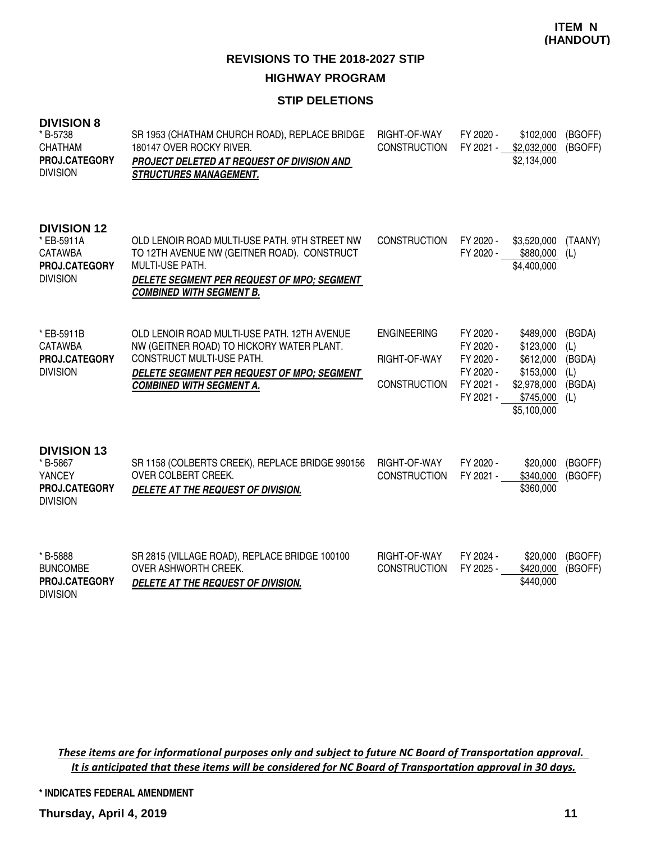#### **STIP DELETIONS**

| <b>DIVISION 8</b><br>* B-5738<br><b>CHATHAM</b><br>PROJ.CATEGORY<br><b>DIVISION</b>    | SR 1953 (CHATHAM CHURCH ROAD), REPLACE BRIDGE<br>180147 OVER ROCKY RIVER.<br>PROJECT DELETED AT REQUEST OF DIVISION AND<br><b>STRUCTURES MANAGEMENT.</b>                                                | RIGHT-OF-WAY<br><b>CONSTRUCTION</b>                       | FY 2020 -<br>FY 2021 -                                                     | \$102,000<br>\$2,032,000<br>\$2,134,000                                                     | (BGOFF)<br>(BGOFF)                              |
|----------------------------------------------------------------------------------------|---------------------------------------------------------------------------------------------------------------------------------------------------------------------------------------------------------|-----------------------------------------------------------|----------------------------------------------------------------------------|---------------------------------------------------------------------------------------------|-------------------------------------------------|
| <b>DIVISION 12</b><br>* EB-5911A<br><b>CATAWBA</b><br>PROJ.CATEGORY<br><b>DIVISION</b> | OLD LENOIR ROAD MULTI-USE PATH, 9TH STREET NW<br>TO 12TH AVENUE NW (GEITNER ROAD). CONSTRUCT<br><b>MULTI-USE PATH.</b><br>DELETE SEGMENT PER REQUEST OF MPO; SEGMENT<br><b>COMBINED WITH SEGMENT B.</b> | <b>CONSTRUCTION</b>                                       | FY 2020 -<br>FY 2020 -                                                     | \$3,520,000<br>\$880,000<br>\$4,400,000                                                     | (TAANY)<br>(L)                                  |
| * EB-5911B<br><b>CATAWBA</b><br>PROJ.CATEGORY<br><b>DIVISION</b>                       | OLD LENOIR ROAD MULTI-USE PATH. 12TH AVENUE<br>NW (GEITNER ROAD) TO HICKORY WATER PLANT.<br>CONSTRUCT MULTI-USE PATH.<br>DELETE SEGMENT PER REQUEST OF MPO; SEGMENT<br><b>COMBINED WITH SEGMENT A.</b>  | <b>ENGINEERING</b><br>RIGHT-OF-WAY<br><b>CONSTRUCTION</b> | FY 2020 -<br>FY 2020 -<br>FY 2020 -<br>FY 2020 -<br>FY 2021 -<br>FY 2021 - | \$489,000<br>\$123,000<br>\$612,000<br>\$153,000<br>\$2,978,000<br>\$745,000<br>\$5,100,000 | (BGDA)<br>(L)<br>(BGDA)<br>(L)<br>(BGDA)<br>(L) |
| <b>DIVISION 13</b><br>* B-5867<br><b>YANCEY</b><br>PROJ.CATEGORY<br><b>DIVISION</b>    | SR 1158 (COLBERTS CREEK), REPLACE BRIDGE 990156<br>OVER COLBERT CREEK.<br>DELETE AT THE REQUEST OF DIVISION.                                                                                            | RIGHT-OF-WAY<br><b>CONSTRUCTION</b>                       | FY 2020 -<br>FY 2021 -                                                     | \$20,000<br>\$340,000<br>\$360,000                                                          | (BGOFF)<br>(BGOFF)                              |
| * B-5888<br><b>BUNCOMBE</b><br>PROJ.CATEGORY<br><b>DIVISION</b>                        | SR 2815 (VILLAGE ROAD), REPLACE BRIDGE 100100<br>OVER ASHWORTH CREEK.<br>DELETE AT THE REQUEST OF DIVISION.                                                                                             | RIGHT-OF-WAY<br><b>CONSTRUCTION</b>                       | FY 2024 -<br>FY 2025 -                                                     | \$20,000<br>\$420,000<br>\$440,000                                                          | (BGOFF)<br>(BGOFF)                              |

These items are for informational purposes only and subject to future NC Board of Transportation approval. It is anticipated that these items will be considered for NC Board of Transportation approval in 30 days.

**\* INDICATES FEDERAL AMENDMENT**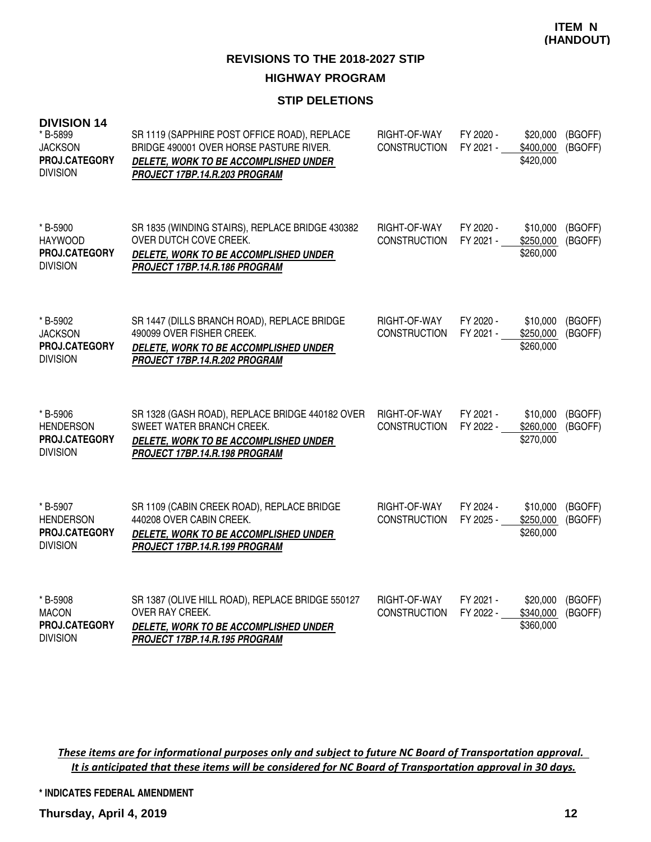#### **STIP DELETIONS**

| <b>DIVISION 14</b><br>* B-5899<br><b>JACKSON</b><br>PROJ.CATEGORY<br><b>DIVISION</b> | SR 1119 (SAPPHIRE POST OFFICE ROAD), REPLACE<br>BRIDGE 490001 OVER HORSE PASTURE RIVER.<br>DELETE, WORK TO BE ACCOMPLISHED UNDER<br>PROJECT 17BP.14.R.203 PROGRAM | RIGHT-OF-WAY<br><b>CONSTRUCTION</b> | FY 2020 -<br>FY 2021 - | \$20,000<br>\$400,000<br>\$420,000 | (BGOFF)<br>(BGOFF) |
|--------------------------------------------------------------------------------------|-------------------------------------------------------------------------------------------------------------------------------------------------------------------|-------------------------------------|------------------------|------------------------------------|--------------------|
| * B-5900<br><b>HAYWOOD</b><br>PROJ.CATEGORY<br><b>DIVISION</b>                       | SR 1835 (WINDING STAIRS), REPLACE BRIDGE 430382<br>OVER DUTCH COVE CREEK.<br>DELETE, WORK TO BE ACCOMPLISHED UNDER<br>PROJECT 17BP.14.R.186 PROGRAM               | RIGHT-OF-WAY<br><b>CONSTRUCTION</b> | FY 2020 -<br>FY 2021 - | \$10,000<br>\$250,000<br>\$260,000 | (BGOFF)<br>(BGOFF) |
| * B-5902<br><b>JACKSON</b><br>PROJ.CATEGORY<br><b>DIVISION</b>                       | SR 1447 (DILLS BRANCH ROAD), REPLACE BRIDGE<br>490099 OVER FISHER CREEK.<br>DELETE, WORK TO BE ACCOMPLISHED UNDER<br>PROJECT 17BP.14.R.202 PROGRAM                | RIGHT-OF-WAY<br><b>CONSTRUCTION</b> | FY 2020 -<br>FY 2021 - | \$10,000<br>\$250,000<br>\$260,000 | (BGOFF)<br>(BGOFF) |
| * B-5906<br><b>HENDERSON</b><br><b>PROJ.CATEGORY</b><br><b>DIVISION</b>              | SR 1328 (GASH ROAD), REPLACE BRIDGE 440182 OVER<br>SWEET WATER BRANCH CREEK.<br>DELETE, WORK TO BE ACCOMPLISHED UNDER<br>PROJECT 17BP.14.R.198 PROGRAM            | RIGHT-OF-WAY<br><b>CONSTRUCTION</b> | FY 2021 -<br>FY 2022 - | \$10,000<br>\$260,000<br>\$270,000 | (BGOFF)<br>(BGOFF) |
| * B-5907<br><b>HENDERSON</b><br>PROJ.CATEGORY<br><b>DIVISION</b>                     | SR 1109 (CABIN CREEK ROAD), REPLACE BRIDGE<br>440208 OVER CABIN CREEK.<br>DELETE, WORK TO BE ACCOMPLISHED UNDER<br>PROJECT 17BP.14.R.199 PROGRAM                  | RIGHT-OF-WAY<br><b>CONSTRUCTION</b> | FY 2024 -<br>FY 2025 - | \$10,000<br>\$250,000<br>\$260,000 | (BGOFF)<br>(BGOFF) |
| * B-5908<br><b>MACON</b><br>PROJ.CATEGORY<br><b>DIVISION</b>                         | SR 1387 (OLIVE HILL ROAD), REPLACE BRIDGE 550127<br>OVER RAY CREEK.<br>DELETE, WORK TO BE ACCOMPLISHED UNDER<br>PROJECT 17BP.14.R.195 PROGRAM                     | RIGHT-OF-WAY<br><b>CONSTRUCTION</b> | FY 2021 -<br>FY 2022 - | \$20,000<br>\$340,000<br>\$360,000 | (BGOFF)<br>(BGOFF) |

These items are for informational purposes only and subject to future NC Board of Transportation approval. It is anticipated that these items will be considered for NC Board of Transportation approval in 30 days.

**\* INDICATES FEDERAL AMENDMENT**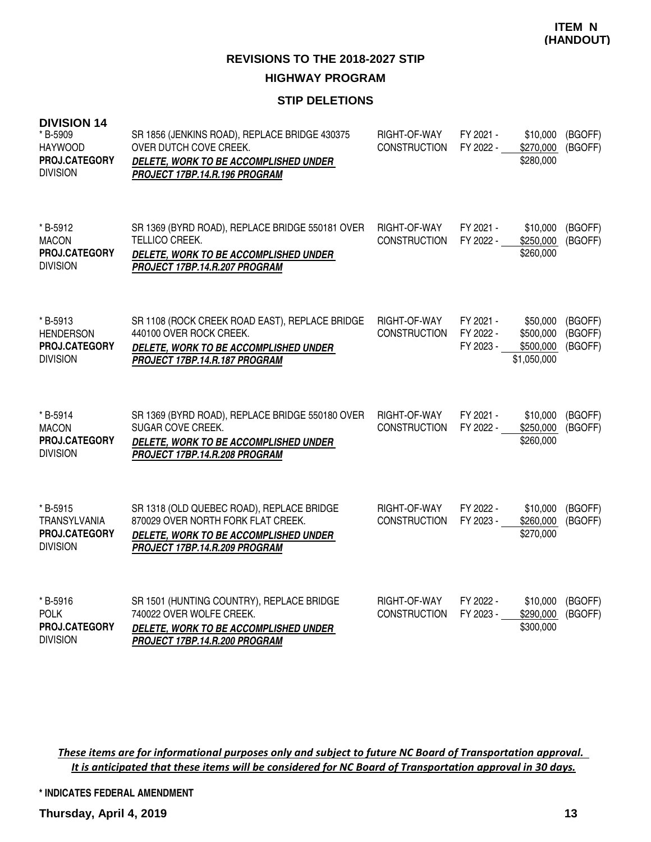#### **STIP DELETIONS**

| <b>DIVISION 14</b><br>* B-5909<br><b>HAYWOOD</b><br>PROJ.CATEGORY<br><b>DIVISION</b> | SR 1856 (JENKINS ROAD), REPLACE BRIDGE 430375<br>OVER DUTCH COVE CREEK.<br>DELETE, WORK TO BE ACCOMPLISHED UNDER<br>PROJECT 17BP.14.R.196 PROGRAM         | RIGHT-OF-WAY<br><b>CONSTRUCTION</b> | FY 2021 -<br>FY 2022 -              | \$10,000<br>\$270,000<br>\$280,000                | (BGOFF)<br>(BGOFF)            |
|--------------------------------------------------------------------------------------|-----------------------------------------------------------------------------------------------------------------------------------------------------------|-------------------------------------|-------------------------------------|---------------------------------------------------|-------------------------------|
| * B-5912<br><b>MACON</b><br>PROJ.CATEGORY<br><b>DIVISION</b>                         | SR 1369 (BYRD ROAD), REPLACE BRIDGE 550181 OVER<br>TELLICO CREEK.<br>DELETE, WORK TO BE ACCOMPLISHED UNDER<br>PROJECT 17BP.14.R.207 PROGRAM               | RIGHT-OF-WAY<br><b>CONSTRUCTION</b> | FY 2021 -<br>FY 2022 -              | \$10,000<br>\$250,000<br>\$260,000                | (BGOFF)<br>(BGOFF)            |
| * B-5913<br><b>HENDERSON</b><br>PROJ.CATEGORY<br><b>DIVISION</b>                     | SR 1108 (ROCK CREEK ROAD EAST), REPLACE BRIDGE<br>440100 OVER ROCK CREEK.<br>DELETE, WORK TO BE ACCOMPLISHED UNDER<br>PROJECT 17BP.14.R.187 PROGRAM       | RIGHT-OF-WAY<br><b>CONSTRUCTION</b> | FY 2021 -<br>FY 2022 -<br>FY 2023 - | \$50,000<br>\$500,000<br>\$500,000<br>\$1,050,000 | (BGOFF)<br>(BGOFF)<br>(BGOFF) |
| * B-5914<br><b>MACON</b><br>PROJ.CATEGORY<br><b>DIVISION</b>                         | SR 1369 (BYRD ROAD), REPLACE BRIDGE 550180 OVER<br>SUGAR COVE CREEK.<br>DELETE, WORK TO BE ACCOMPLISHED UNDER<br>PROJECT 17BP.14.R.208 PROGRAM            | RIGHT-OF-WAY<br><b>CONSTRUCTION</b> | FY 2021 -<br>FY 2022 -              | \$10,000<br>\$250,000<br>\$260,000                | (BGOFF)<br>(BGOFF)            |
| * B-5915<br><b>TRANSYLVANIA</b><br><b>PROJ.CATEGORY</b><br><b>DIVISION</b>           | SR 1318 (OLD QUEBEC ROAD), REPLACE BRIDGE<br>870029 OVER NORTH FORK FLAT CREEK.<br>DELETE, WORK TO BE ACCOMPLISHED UNDER<br>PROJECT 17BP.14.R.209 PROGRAM | RIGHT-OF-WAY<br><b>CONSTRUCTION</b> | FY 2022 -<br>FY 2023 -              | \$10,000<br>\$260,000<br>\$270,000                | (BGOFF)<br>(BGOFF)            |
| * B-5916<br><b>POLK</b><br>PROJ.CATEGORY<br><b>DIVISION</b>                          | SR 1501 (HUNTING COUNTRY), REPLACE BRIDGE<br>740022 OVER WOLFE CREEK.<br>DELETE, WORK TO BE ACCOMPLISHED UNDER<br>PROJECT 17BP.14.R.200 PROGRAM           | RIGHT-OF-WAY<br><b>CONSTRUCTION</b> | FY 2022 -<br>FY 2023 -              | \$10,000<br>\$290,000<br>\$300,000                | (BGOFF)<br>(BGOFF)            |

These items are for informational purposes only and subject to future NC Board of Transportation approval. It is anticipated that these items will be considered for NC Board of Transportation approval in 30 days.

**\* INDICATES FEDERAL AMENDMENT**